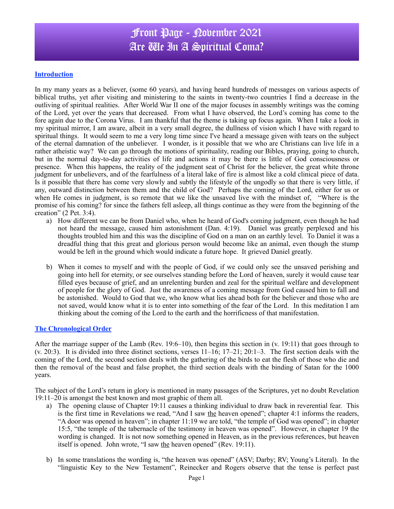## Front Page - November 2021 Are We In A Spiritual Coma?

### **Introduction**

In my many years as a believer, (some 60 years), and having heard hundreds of messages on various aspects of biblical truths, yet after visiting and ministering to the saints in twenty-two countries I find a decrease in the outliving of spiritual realities. After World War II one of the major focuses in assembly writings was the coming of the Lord, yet over the years that decreased. From what I have observed, the Lord's coming has come to the fore again due to the Corona Virus. I am thankful that the theme is taking up focus again. When I take a look in my spiritual mirror, I am aware, albeit in a very small degree, the dullness of vision which I have with regard to spiritual things. It would seem to me a very long time since I've heard a message given with tears on the subject of the eternal damnation of the unbeliever. I wonder, is it possible that we who are Christians can live life in a rather atheistic way? We can go through the motions of spirituality, reading our Bibles, praying, going to church, but in the normal day-to-day activities of life and actions it may be there is little of God consciousness or presence. When this happens, the reality of the judgment seat of Christ for the believer, the great white throne judgment for unbelievers, and of the fearfulness of a literal lake of fire is almost like a cold clinical piece of data. Is it possible that there has come very slowly and subtly the lifestyle of the ungodly so that there is very little, if any, outward distinction between them and the child of God? Perhaps the coming of the Lord, either for us or when He comes in judgment, is so remote that we like the unsaved live with the mindset of, "Where is the promise of his coming? for since the fathers fell asleep, all things continue as they were from the beginning of the creation" (2 Pet. 3:4).

- a) How different we can be from Daniel who, when he heard of God's coming judgment, even though he had not heard the message, caused him astonishment (Dan. 4:19). Daniel was greatly perplexed and his thoughts troubled him and this was the discipline of God on a man on an earthly level. To Daniel it was a dreadful thing that this great and glorious person would become like an animal, even though the stump would be left in the ground which would indicate a future hope. It grieved Daniel greatly.
- b) When it comes to myself and with the people of God, if we could only see the unsaved perishing and going into hell for eternity, or see ourselves standing before the Lord of heaven, surely it would cause tear filled eyes because of grief, and an unrelenting burden and zeal for the spiritual welfare and development of people for the glory of God. Just the awareness of a coming message from God caused him to fall and be astonished. Would to God that we, who know what lies ahead both for the believer and those who are not saved, would know what it is to enter into something of the fear of the Lord. In this meditation I am thinking about the coming of the Lord to the earth and the horrificness of that manifestation.

### **The Chronological Order**

After the marriage supper of the Lamb (Rev. 19:6–10), then begins this section in (v. 19:11) that goes through to  $(v. 20:3)$ . It is divided into three distinct sections, verses  $11-16$ ;  $17-21$ ;  $20:1-3$ . The first section deals with the coming of the Lord, the second section deals with the gathering of the birds to eat the flesh of those who die and then the removal of the beast and false prophet, the third section deals with the binding of Satan for the 1000 years.

The subject of the Lord's return in glory is mentioned in many passages of the Scriptures, yet no doubt Revelation 19:11–20 is amongst the best known and most graphic of them all.

- a) The opening clause of Chapter 19:11 causes a thinking individual to draw back in reverential fear. This is the first time in Revelations we read, "And I saw the heaven opened"; chapter 4:1 informs the readers, "A door was opened in heaven"; in chapter 11:19 we are told, "the temple of God was opened"; in chapter 15:5, "the temple of the tabernacle of the testimony in heaven was opened". However, in chapter 19 the wording is changed. It is not now something opened in Heaven, as in the previous references, but heaven itself is opened. John wrote, "I saw the heaven opened" (Rev. 19:11).
- b) In some translations the wording is, "the heaven was opened" (ASV; Darby; RV; Young's Literal). In the "linguistic Key to the New Testament", Reinecker and Rogers observe that the tense is perfect past